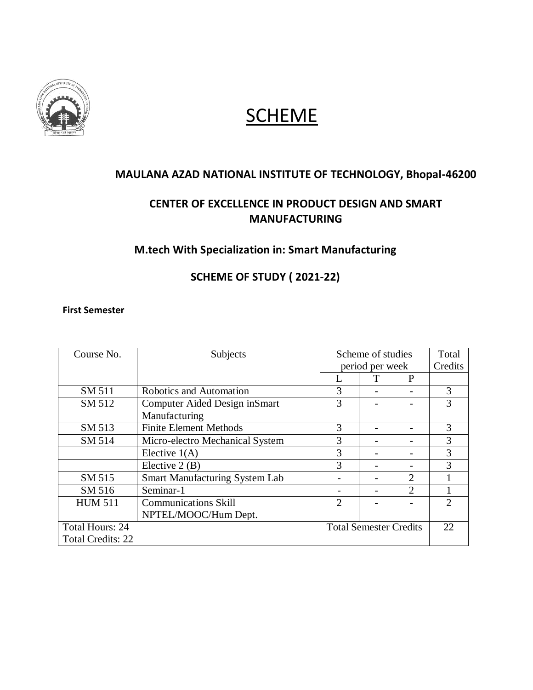

# **SCHEME**

## **MAULANA AZAD NATIONAL INSTITUTE OF TECHNOLOGY, Bhopal-46200**

# **CENTER OF EXCELLENCE IN PRODUCT DESIGN AND SMART MANUFACTURING**

## **M.tech With Specialization in: Smart Manufacturing**

## **SCHEME OF STUDY ( 2021-22)**

#### **First Semester**

| Course No.               | Subjects                              |                | Scheme of studies             |                |               |
|--------------------------|---------------------------------------|----------------|-------------------------------|----------------|---------------|
|                          |                                       |                | period per week               |                |               |
|                          |                                       |                |                               | P              |               |
| SM 511                   | Robotics and Automation               | 3              |                               |                | 3             |
| SM 512                   | Computer Aided Design in Smart        | 3              |                               |                | 3             |
|                          | Manufacturing                         |                |                               |                |               |
| SM 513                   | <b>Finite Element Methods</b>         | 3              |                               |                | 3             |
| SM 514                   | Micro-electro Mechanical System       | 3              |                               |                | 3             |
|                          | Elective $1(A)$                       | 3              |                               |                | 3             |
|                          | Elective $2(B)$                       | 3              |                               |                | 3             |
| SM 515                   | <b>Smart Manufacturing System Lab</b> |                |                               | $\overline{2}$ |               |
| SM 516                   | Seminar-1                             |                |                               | $\overline{2}$ |               |
| <b>HUM 511</b>           | <b>Communications Skill</b>           | $\overline{2}$ |                               |                | $\mathcal{D}$ |
|                          | NPTEL/MOOC/Hum Dept.                  |                |                               |                |               |
| Total Hours: 24          |                                       |                | <b>Total Semester Credits</b> |                | 22.           |
| <b>Total Credits: 22</b> |                                       |                |                               |                |               |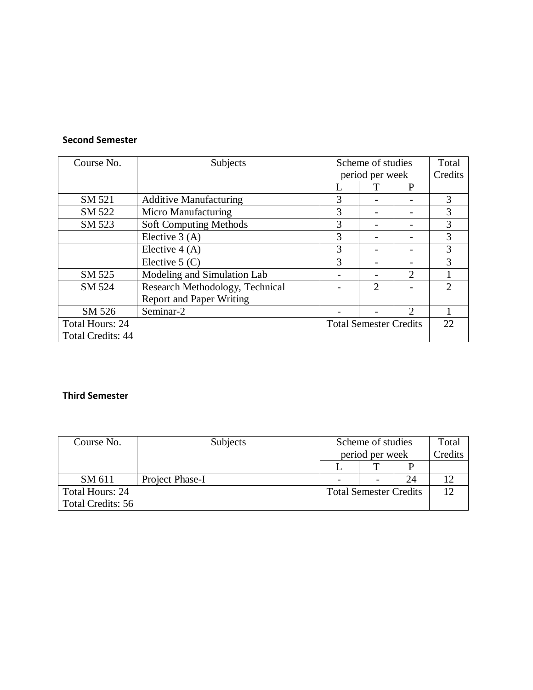#### **Second Semester**

| Course No.               | Subjects                        |                               | Scheme of studies<br>period per week |                             |                             |
|--------------------------|---------------------------------|-------------------------------|--------------------------------------|-----------------------------|-----------------------------|
|                          |                                 |                               |                                      | P                           | Credits                     |
| SM 521                   | <b>Additive Manufacturing</b>   | 3                             |                                      |                             | 3                           |
| SM 522                   | Micro Manufacturing             | 3                             |                                      |                             | 3                           |
| SM 523                   | Soft Computing Methods          | 3                             |                                      |                             | 3                           |
|                          | Elective $3(A)$                 | 3                             |                                      |                             | 3                           |
|                          | Elective $4(A)$                 | 3                             |                                      |                             | 3                           |
|                          | Elective $5(C)$                 | 3                             |                                      |                             | 3                           |
| SM 525                   | Modeling and Simulation Lab     |                               |                                      | $\overline{2}$              |                             |
| SM 524                   | Research Methodology, Technical |                               | $\overline{2}$                       |                             | $\mathcal{D}_{\mathcal{L}}$ |
|                          | <b>Report and Paper Writing</b> |                               |                                      |                             |                             |
| SM 526                   | Seminar-2                       |                               |                                      | $\mathcal{D}_{\mathcal{A}}$ |                             |
| Total Hours: 24          |                                 | <b>Total Semester Credits</b> |                                      |                             | 22                          |
| <b>Total Credits: 44</b> |                                 |                               |                                      |                             |                             |

## **Third Semester**

| Course No.        | Subjects        | Scheme of studies             |  |    | Total   |
|-------------------|-----------------|-------------------------------|--|----|---------|
|                   |                 | period per week               |  |    | Credits |
|                   |                 |                               |  |    |         |
| SM 611            | Project Phase-I |                               |  | 24 |         |
| Total Hours: 24   |                 | <b>Total Semester Credits</b> |  |    |         |
| Total Credits: 56 |                 |                               |  |    |         |